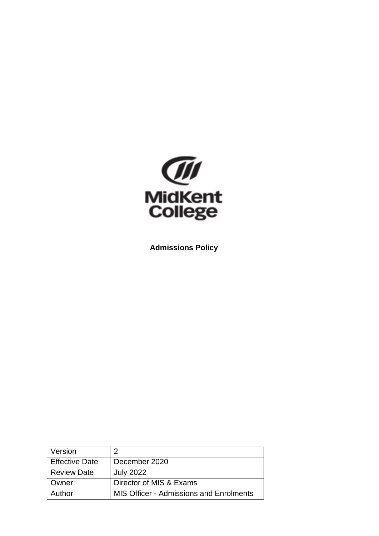

**Admissions Policy**

| Version               |                                                |
|-----------------------|------------------------------------------------|
| <b>Effective Date</b> | December 2020                                  |
| <b>Review Date</b>    | <b>July 2022</b>                               |
| Owner                 | Director of MIS & Exams                        |
| Author                | <b>MIS Officer - Admissions and Enrolments</b> |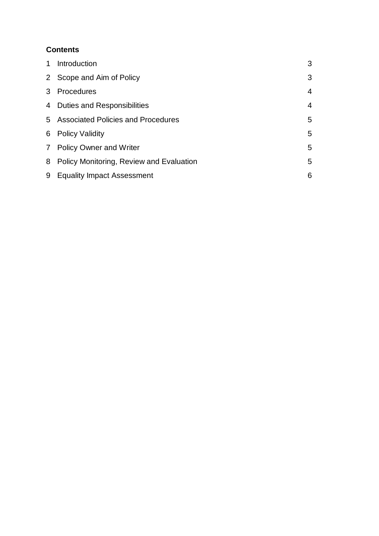# **Contents**

| 1 | Introduction                               | 3              |
|---|--------------------------------------------|----------------|
|   | 2 Scope and Aim of Policy                  | 3              |
|   | 3 Procedures                               | 4              |
|   | 4 Duties and Responsibilities              | $\overline{4}$ |
|   | 5 Associated Policies and Procedures       | 5              |
| 6 | <b>Policy Validity</b>                     | 5              |
|   | 7 Policy Owner and Writer                  | 5              |
|   | 8 Policy Monitoring, Review and Evaluation | 5              |
| 9 | <b>Equality Impact Assessment</b>          | 6              |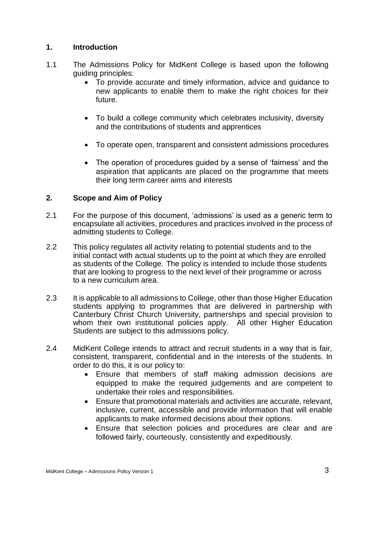# **1. Introduction**

- 1.1 The Admissions Policy for MidKent College is based upon the following guiding principles:
	- To provide accurate and timely information, advice and guidance to new applicants to enable them to make the right choices for their future.
	- To build a college community which celebrates inclusivity, diversity and the contributions of students and apprentices
	- To operate open, transparent and consistent admissions procedures
	- The operation of procedures guided by a sense of 'fairness' and the aspiration that applicants are placed on the programme that meets their long term career aims and interests

# **2. Scope and Aim of Policy**

- 2.1 For the purpose of this document, 'admissions' is used as a generic term to encapsulate all activities, procedures and practices involved in the process of admitting students to College.
- 2.2 This policy regulates all activity relating to potential students and to the initial contact with actual students up to the point at which they are enrolled as students of the College. The policy is intended to include those students that are looking to progress to the next level of their programme or across to a new curriculum area.
- 2.3 It is applicable to all admissions to College, other than those Higher Education students applying to programmes that are delivered in partnership with Canterbury Christ Church University, partnerships and special provision to whom their own institutional policies apply. All other Higher Education Students are subject to this admissions policy.
- 2.4 MidKent College intends to attract and recruit students in a way that is fair, consistent, transparent, confidential and in the interests of the students. In order to do this, it is our policy to:
	- Ensure that members of staff making admission decisions are equipped to make the required judgements and are competent to undertake their roles and responsibilities.
	- Ensure that promotional materials and activities are accurate, relevant, inclusive, current, accessible and provide information that will enable applicants to make informed decisions about their options.
	- Ensure that selection policies and procedures are clear and are followed fairly, courteously, consistently and expeditiously.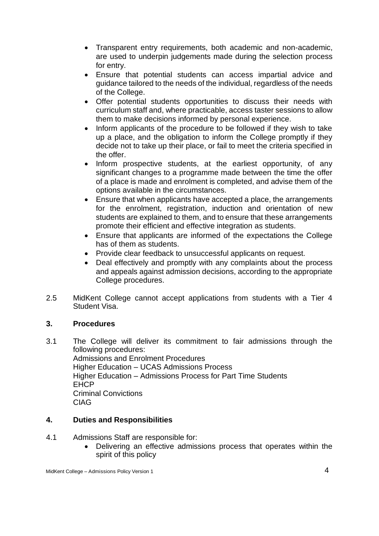- Transparent entry requirements, both academic and non-academic, are used to underpin judgements made during the selection process for entry.
- Ensure that potential students can access impartial advice and guidance tailored to the needs of the individual, regardless of the needs of the College.
- Offer potential students opportunities to discuss their needs with curriculum staff and, where practicable, access taster sessions to allow them to make decisions informed by personal experience.
- Inform applicants of the procedure to be followed if they wish to take up a place, and the obligation to inform the College promptly if they decide not to take up their place, or fail to meet the criteria specified in the offer.
- Inform prospective students, at the earliest opportunity, of any significant changes to a programme made between the time the offer of a place is made and enrolment is completed, and advise them of the options available in the circumstances.
- Ensure that when applicants have accepted a place, the arrangements for the enrolment, registration, induction and orientation of new students are explained to them, and to ensure that these arrangements promote their efficient and effective integration as students.
- Ensure that applicants are informed of the expectations the College has of them as students.
- Provide clear feedback to unsuccessful applicants on request.
- Deal effectively and promptly with any complaints about the process and appeals against admission decisions, according to the appropriate College procedures.
- 2.5 MidKent College cannot accept applications from students with a Tier 4 Student Visa.

# **3. Procedures**

3.1 The College will deliver its commitment to fair admissions through the following procedures: Admissions and Enrolment Procedures Higher Education – UCAS Admissions Process Higher Education – Admissions Process for Part Time Students EHCP Criminal Convictions CIAG

# **4. Duties and Responsibilities**

- 4.1 Admissions Staff are responsible for:
	- Delivering an effective admissions process that operates within the spirit of this policy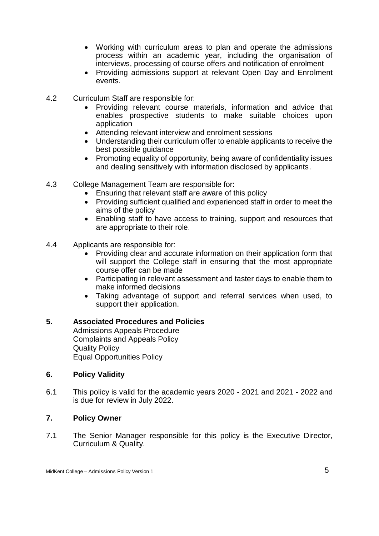- Working with curriculum areas to plan and operate the admissions process within an academic year, including the organisation of interviews, processing of course offers and notification of enrolment
- Providing admissions support at relevant Open Day and Enrolment events.
- 4.2 Curriculum Staff are responsible for:
	- Providing relevant course materials, information and advice that enables prospective students to make suitable choices upon application
	- Attending relevant interview and enrolment sessions
	- Understanding their curriculum offer to enable applicants to receive the best possible guidance
	- Promoting equality of opportunity, being aware of confidentiality issues and dealing sensitively with information disclosed by applicants.
- 4.3 College Management Team are responsible for:
	- Ensuring that relevant staff are aware of this policy
	- Providing sufficient qualified and experienced staff in order to meet the aims of the policy
	- Enabling staff to have access to training, support and resources that are appropriate to their role.
- 4.4 Applicants are responsible for:
	- Providing clear and accurate information on their application form that will support the College staff in ensuring that the most appropriate course offer can be made
	- Participating in relevant assessment and taster days to enable them to make informed decisions
	- Taking advantage of support and referral services when used, to support their application.

# **5. Associated Procedures and Policies**

Admissions Appeals Procedure Complaints and Appeals Policy Quality Policy Equal Opportunities Policy

### **6. Policy Validity**

6.1 This policy is valid for the academic years 2020 - 2021 and 2021 - 2022 and is due for review in July 2022.

### **7. Policy Owner**

7.1 The Senior Manager responsible for this policy is the Executive Director, Curriculum & Quality.